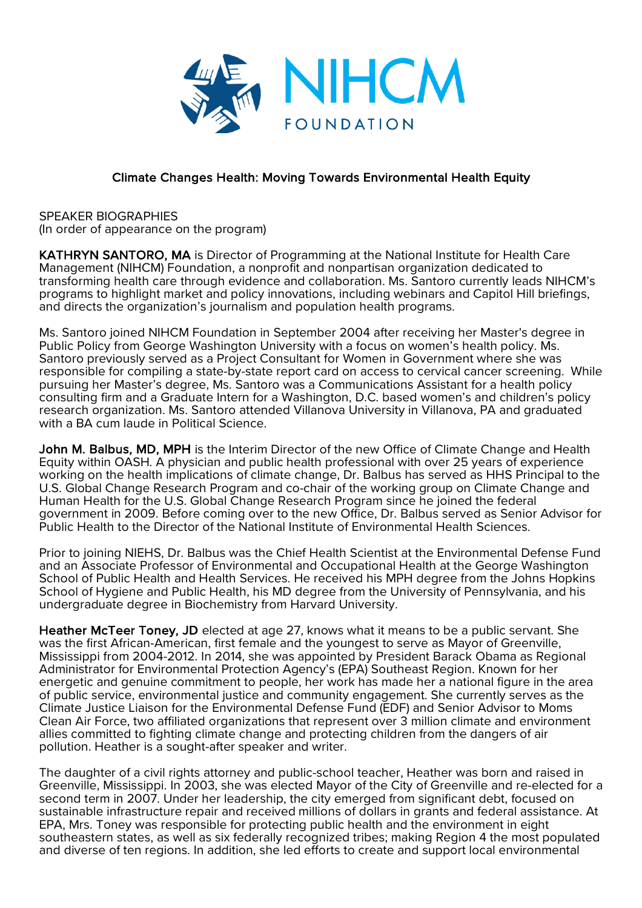

## Climate Changes Health: Moving Towards Environmental Health Equity

SPEAKER BIOGRAPHIES (In order of appearance on the program)

KATHRYN SANTORO, MA is Director of Programming at the National Institute for Health Care Management (NIHCM) Foundation, a nonprofit and nonpartisan organization dedicated to transforming health care through evidence and collaboration. Ms. Santoro currently leads NIHCM's programs to highlight market and policy innovations, including webinars and Capitol Hill briefings, and directs the organization's journalism and population health programs.

Ms. Santoro joined NIHCM Foundation in September 2004 after receiving her Master's degree in Public Policy from George Washington University with a focus on women's health policy. Ms. Santoro previously served as a Project Consultant for Women in Government where she was responsible for compiling a state-by-state report card on access to cervical cancer screening. While pursuing her Master's degree, Ms. Santoro was a Communications Assistant for a health policy consulting firm and a Graduate Intern for a Washington, D.C. based women's and children's policy research organization. Ms. Santoro attended Villanova University in Villanova, PA and graduated with a BA cum laude in Political Science.

John M. Balbus, MD, MPH is the Interim Director of the new Office of Climate Change and Health Equity within OASH. A physician and public health professional with over 25 years of experience working on the health implications of climate change, Dr. Balbus has served as HHS Principal to the U.S. Global Change Research Program and co-chair of the working group on Climate Change and Human Health for the U.S. Global Change Research Program since he joined the federal government in 2009. Before coming over to the new Office, Dr. Balbus served as Senior Advisor for Public Health to the Director of the National Institute of Environmental Health Sciences.

Prior to joining NIEHS, Dr. Balbus was the Chief Health Scientist at the Environmental Defense Fund and an Associate Professor of Environmental and Occupational Health at the George Washington School of Public Health and Health Services. He received his MPH degree from the Johns Hopkins School of Hygiene and Public Health, his MD degree from the University of Pennsylvania, and his undergraduate degree in Biochemistry from Harvard University.

Heather McTeer Toney, JD elected at age 27, knows what it means to be a public servant. She was the first African-American, first female and the youngest to serve as Mayor of Greenville, Mississippi from 2004-2012. In 2014, she was appointed by President Barack Obama as Regional Administrator for Environmental Protection Agency's (EPA) Southeast Region. Known for her energetic and genuine commitment to people, her work has made her a national figure in the area of public service, environmental justice and community engagement. She currently serves as the Climate Justice Liaison for the Environmental Defense Fund (EDF) and Senior Advisor to Moms Clean Air Force, two affiliated organizations that represent over 3 million climate and environment allies committed to fighting climate change and protecting children from the dangers of air pollution. Heather is a sought-after speaker and writer.

The daughter of a civil rights attorney and public-school teacher, Heather was born and raised in Greenville, Mississippi. In 2003, she was elected Mayor of the City of Greenville and re-elected for a second term in 2007. Under her leadership, the city emerged from significant debt, focused on sustainable infrastructure repair and received millions of dollars in grants and federal assistance. At EPA, Mrs. Toney was responsible for protecting public health and the environment in eight southeastern states, as well as six federally recognized tribes; making Region 4 the most populated and diverse of ten regions. In addition, she led efforts to create and support local environmental